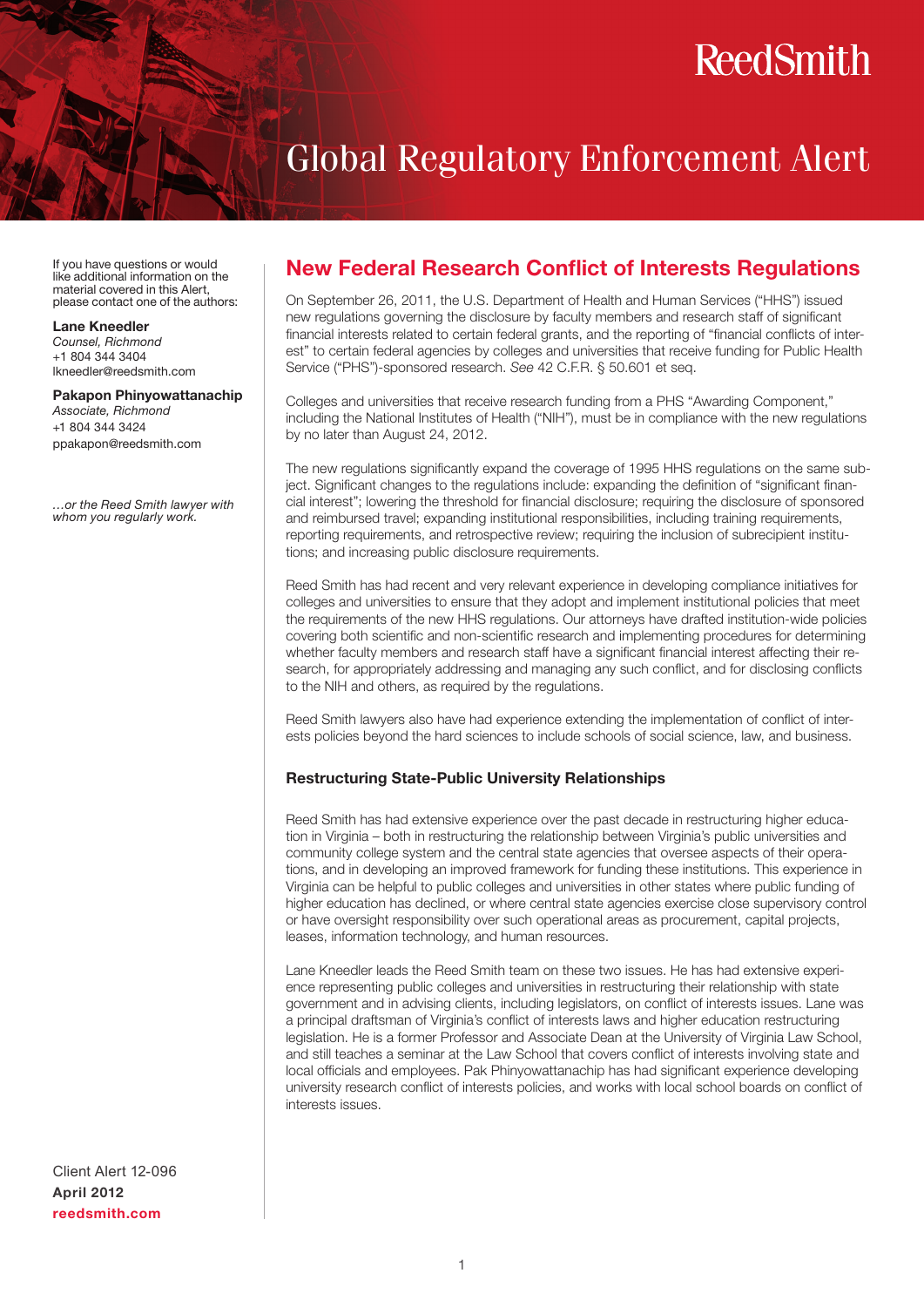# **ReedSmith**

## Global Regulatory Enforcement Alert

If you have questions or would like additional information on the material covered in this Alert, please contact one of the authors:

#### Lane Kneedler

*Counsel, Richmond* +1 804 344 3404 lkneedler@reedsmith.com

#### Pakapon Phinyowattanachip

*Associate, Richmond* +1 804 344 3424 ppakapon@reedsmith.com

*…or the Reed Smith lawyer with whom you regularly work.*

### New Federal Research Conflict of Interests Regulations

On September 26, 2011, the U.S. Department of Health and Human Services ("HHS") issued new regulations governing the disclosure by faculty members and research staff of significant financial interests related to certain federal grants, and the reporting of "financial conflicts of interest" to certain federal agencies by colleges and universities that receive funding for Public Health Service ("PHS")-sponsored research. *See* 42 C.F.R. § 50.601 et seq.

Colleges and universities that receive research funding from a PHS "Awarding Component," including the National Institutes of Health ("NIH"), must be in compliance with the new regulations by no later than August 24, 2012.

The new regulations significantly expand the coverage of 1995 HHS regulations on the same subject. Significant changes to the regulations include: expanding the definition of "significant financial interest"; lowering the threshold for financial disclosure; requiring the disclosure of sponsored and reimbursed travel; expanding institutional responsibilities, including training requirements, reporting requirements, and retrospective review; requiring the inclusion of subrecipient institutions; and increasing public disclosure requirements.

Reed Smith has had recent and very relevant experience in developing compliance initiatives for colleges and universities to ensure that they adopt and implement institutional policies that meet the requirements of the new HHS regulations. Our attorneys have drafted institution-wide policies covering both scientific and non-scientific research and implementing procedures for determining whether faculty members and research staff have a significant financial interest affecting their research, for appropriately addressing and managing any such conflict, and for disclosing conflicts to the NIH and others, as required by the regulations.

Reed Smith lawyers also have had experience extending the implementation of conflict of interests policies beyond the hard sciences to include schools of social science, law, and business.

#### Restructuring State-Public University Relationships

Reed Smith has had extensive experience over the past decade in restructuring higher education in Virginia – both in restructuring the relationship between Virginia's public universities and community college system and the central state agencies that oversee aspects of their operations, and in developing an improved framework for funding these institutions. This experience in Virginia can be helpful to public colleges and universities in other states where public funding of higher education has declined, or where central state agencies exercise close supervisory control or have oversight responsibility over such operational areas as procurement, capital projects, leases, information technology, and human resources.

Lane Kneedler leads the Reed Smith team on these two issues. He has had extensive experience representing public colleges and universities in restructuring their relationship with state government and in advising clients, including legislators, on conflict of interests issues. Lane was a principal draftsman of Virginia's conflict of interests laws and higher education restructuring legislation. He is a former Professor and Associate Dean at the University of Virginia Law School, and still teaches a seminar at the Law School that covers conflict of interests involving state and local officials and employees. Pak Phinyowattanachip has had significant experience developing university research conflict of interests policies, and works with local school boards on conflict of interests issues.

Client Alert 12-096 April 2012 reedsmith.com